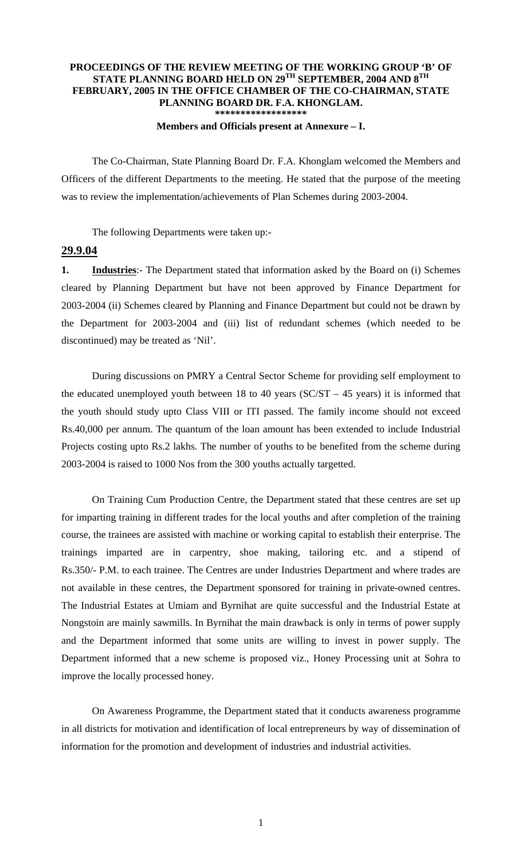## **PROCEEDINGS OF THE REVIEW MEETING OF THE WORKING GROUP 'B' OF STATE PLANNING BOARD HELD ON 29TH SEPTEMBER, 2004 AND 8TH FEBRUARY, 2005 IN THE OFFICE CHAMBER OF THE CO-CHAIRMAN, STATE PLANNING BOARD DR. F.A. KHONGLAM. \*\*\*\*\*\*\*\*\*\*\*\*\*\*\*\*\*\***

## **Members and Officials present at Annexure – I.**

 The Co-Chairman, State Planning Board Dr. F.A. Khonglam welcomed the Members and Officers of the different Departments to the meeting. He stated that the purpose of the meeting was to review the implementation/achievements of Plan Schemes during 2003-2004.

The following Departments were taken up:-

## **29.9.04**

1. **Industries**:- The Department stated that information asked by the Board on (i) Schemes cleared by Planning Department but have not been approved by Finance Department for 2003-2004 (ii) Schemes cleared by Planning and Finance Department but could not be drawn by the Department for 2003-2004 and (iii) list of redundant schemes (which needed to be discontinued) may be treated as 'Nil'.

During discussions on PMRY a Central Sector Scheme for providing self employment to the educated unemployed youth between 18 to 40 years ( $SC/ST - 45$  years) it is informed that the youth should study upto Class VIII or ITI passed. The family income should not exceed Rs.40,000 per annum. The quantum of the loan amount has been extended to include Industrial Projects costing upto Rs.2 lakhs. The number of youths to be benefited from the scheme during 2003-2004 is raised to 1000 Nos from the 300 youths actually targetted.

 On Training Cum Production Centre, the Department stated that these centres are set up for imparting training in different trades for the local youths and after completion of the training course, the trainees are assisted with machine or working capital to establish their enterprise. The trainings imparted are in carpentry, shoe making, tailoring etc. and a stipend of Rs.350/- P.M. to each trainee. The Centres are under Industries Department and where trades are not available in these centres, the Department sponsored for training in private-owned centres. The Industrial Estates at Umiam and Byrnihat are quite successful and the Industrial Estate at Nongstoin are mainly sawmills. In Byrnihat the main drawback is only in terms of power supply and the Department informed that some units are willing to invest in power supply. The Department informed that a new scheme is proposed viz., Honey Processing unit at Sohra to improve the locally processed honey.

 On Awareness Programme, the Department stated that it conducts awareness programme in all districts for motivation and identification of local entrepreneurs by way of dissemination of information for the promotion and development of industries and industrial activities.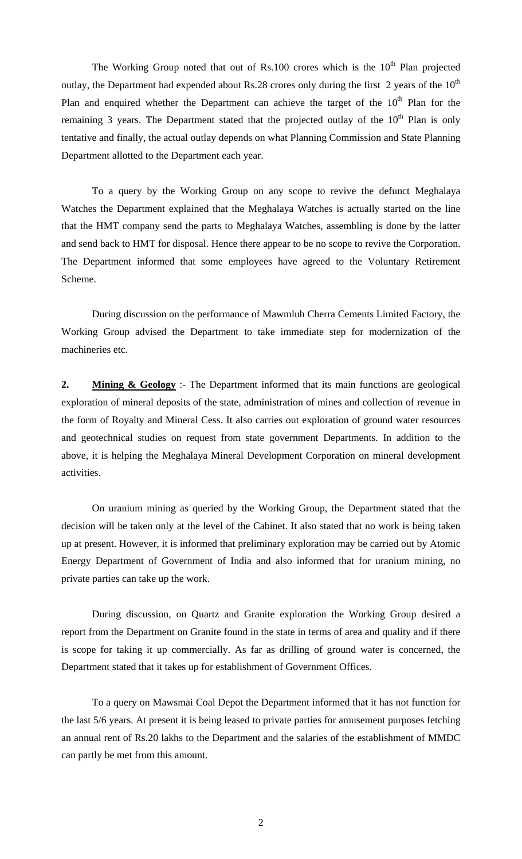The Working Group noted that out of Rs.100 crores which is the  $10<sup>th</sup>$  Plan projected outlay, the Department had expended about Rs.28 crores only during the first 2 years of the  $10<sup>th</sup>$ Plan and enquired whether the Department can achieve the target of the  $10<sup>th</sup>$  Plan for the remaining 3 years. The Department stated that the projected outlay of the  $10<sup>th</sup>$  Plan is only tentative and finally, the actual outlay depends on what Planning Commission and State Planning Department allotted to the Department each year.

 To a query by the Working Group on any scope to revive the defunct Meghalaya Watches the Department explained that the Meghalaya Watches is actually started on the line that the HMT company send the parts to Meghalaya Watches, assembling is done by the latter and send back to HMT for disposal. Hence there appear to be no scope to revive the Corporation. The Department informed that some employees have agreed to the Voluntary Retirement Scheme.

 During discussion on the performance of Mawmluh Cherra Cements Limited Factory, the Working Group advised the Department to take immediate step for modernization of the machineries etc.

**2. Mining & Geology** :- The Department informed that its main functions are geological exploration of mineral deposits of the state, administration of mines and collection of revenue in the form of Royalty and Mineral Cess. It also carries out exploration of ground water resources and geotechnical studies on request from state government Departments. In addition to the above, it is helping the Meghalaya Mineral Development Corporation on mineral development activities.

 On uranium mining as queried by the Working Group, the Department stated that the decision will be taken only at the level of the Cabinet. It also stated that no work is being taken up at present. However, it is informed that preliminary exploration may be carried out by Atomic Energy Department of Government of India and also informed that for uranium mining, no private parties can take up the work.

 During discussion, on Quartz and Granite exploration the Working Group desired a report from the Department on Granite found in the state in terms of area and quality and if there is scope for taking it up commercially. As far as drilling of ground water is concerned, the Department stated that it takes up for establishment of Government Offices.

 To a query on Mawsmai Coal Depot the Department informed that it has not function for the last 5/6 years. At present it is being leased to private parties for amusement purposes fetching an annual rent of Rs.20 lakhs to the Department and the salaries of the establishment of MMDC can partly be met from this amount.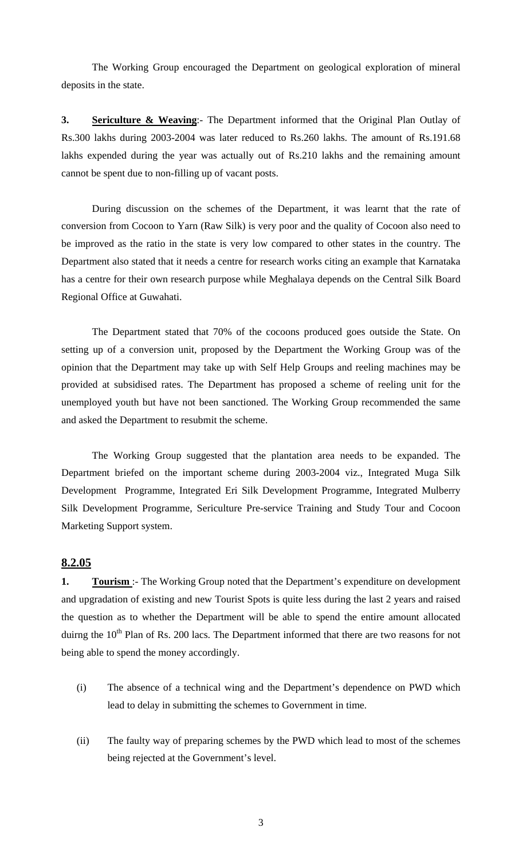The Working Group encouraged the Department on geological exploration of mineral deposits in the state.

**3. Sericulture & Weaving**:- The Department informed that the Original Plan Outlay of Rs.300 lakhs during 2003-2004 was later reduced to Rs.260 lakhs. The amount of Rs.191.68 lakhs expended during the year was actually out of Rs.210 lakhs and the remaining amount cannot be spent due to non-filling up of vacant posts.

 During discussion on the schemes of the Department, it was learnt that the rate of conversion from Cocoon to Yarn (Raw Silk) is very poor and the quality of Cocoon also need to be improved as the ratio in the state is very low compared to other states in the country. The Department also stated that it needs a centre for research works citing an example that Karnataka has a centre for their own research purpose while Meghalaya depends on the Central Silk Board Regional Office at Guwahati.

 The Department stated that 70% of the cocoons produced goes outside the State. On setting up of a conversion unit, proposed by the Department the Working Group was of the opinion that the Department may take up with Self Help Groups and reeling machines may be provided at subsidised rates. The Department has proposed a scheme of reeling unit for the unemployed youth but have not been sanctioned. The Working Group recommended the same and asked the Department to resubmit the scheme.

 The Working Group suggested that the plantation area needs to be expanded. The Department briefed on the important scheme during 2003-2004 viz., Integrated Muga Silk Development Programme, Integrated Eri Silk Development Programme, Integrated Mulberry Silk Development Programme, Sericulture Pre-service Training and Study Tour and Cocoon Marketing Support system.

## **8.2.05**

**1. Tourism** :- The Working Group noted that the Department's expenditure on development and upgradation of existing and new Tourist Spots is quite less during the last 2 years and raised the question as to whether the Department will be able to spend the entire amount allocated duirng the  $10<sup>th</sup>$  Plan of Rs. 200 lacs. The Department informed that there are two reasons for not being able to spend the money accordingly.

- (i) The absence of a technical wing and the Department's dependence on PWD which lead to delay in submitting the schemes to Government in time.
- (ii) The faulty way of preparing schemes by the PWD which lead to most of the schemes being rejected at the Government's level.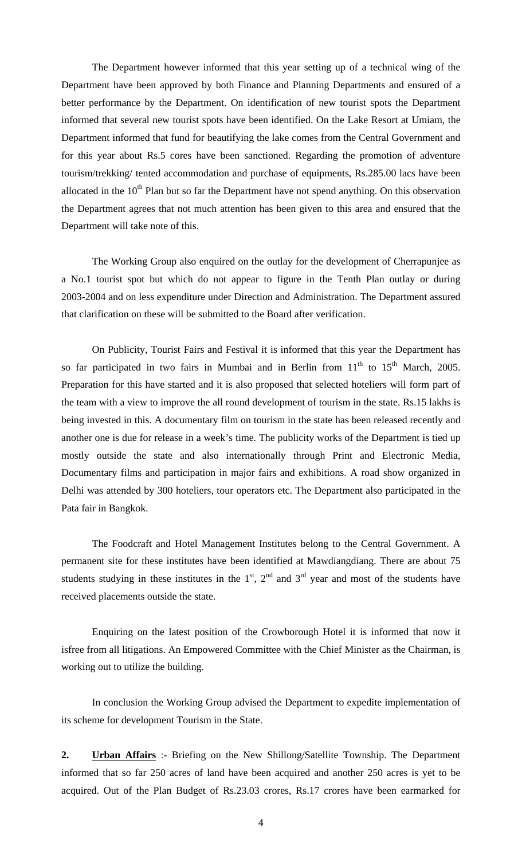The Department however informed that this year setting up of a technical wing of the Department have been approved by both Finance and Planning Departments and ensured of a better performance by the Department. On identification of new tourist spots the Department informed that several new tourist spots have been identified. On the Lake Resort at Umiam, the Department informed that fund for beautifying the lake comes from the Central Government and for this year about Rs.5 cores have been sanctioned. Regarding the promotion of adventure tourism/trekking/ tented accommodation and purchase of equipments, Rs.285.00 lacs have been allocated in the  $10<sup>th</sup>$  Plan but so far the Department have not spend anything. On this observation the Department agrees that not much attention has been given to this area and ensured that the Department will take note of this.

The Working Group also enquired on the outlay for the development of Cherrapunjee as a No.1 tourist spot but which do not appear to figure in the Tenth Plan outlay or during 2003-2004 and on less expenditure under Direction and Administration. The Department assured that clarification on these will be submitted to the Board after verification.

On Publicity, Tourist Fairs and Festival it is informed that this year the Department has so far participated in two fairs in Mumbai and in Berlin from  $11<sup>th</sup>$  to  $15<sup>th</sup>$  March, 2005. Preparation for this have started and it is also proposed that selected hoteliers will form part of the team with a view to improve the all round development of tourism in the state. Rs.15 lakhs is being invested in this. A documentary film on tourism in the state has been released recently and another one is due for release in a week's time. The publicity works of the Department is tied up mostly outside the state and also internationally through Print and Electronic Media, Documentary films and participation in major fairs and exhibitions. A road show organized in Delhi was attended by 300 hoteliers, tour operators etc. The Department also participated in the Pata fair in Bangkok.

The Foodcraft and Hotel Management Institutes belong to the Central Government. A permanent site for these institutes have been identified at Mawdiangdiang. There are about 75 students studying in these institutes in the  $1<sup>st</sup>$ ,  $2<sup>nd</sup>$  and  $3<sup>rd</sup>$  year and most of the students have received placements outside the state.

Enquiring on the latest position of the Crowborough Hotel it is informed that now it isfree from all litigations. An Empowered Committee with the Chief Minister as the Chairman, is working out to utilize the building.

In conclusion the Working Group advised the Department to expedite implementation of its scheme for development Tourism in the State.

**2. Urban Affairs** :- Briefing on the New Shillong/Satellite Township. The Department informed that so far 250 acres of land have been acquired and another 250 acres is yet to be acquired. Out of the Plan Budget of Rs.23.03 crores, Rs.17 crores have been earmarked for